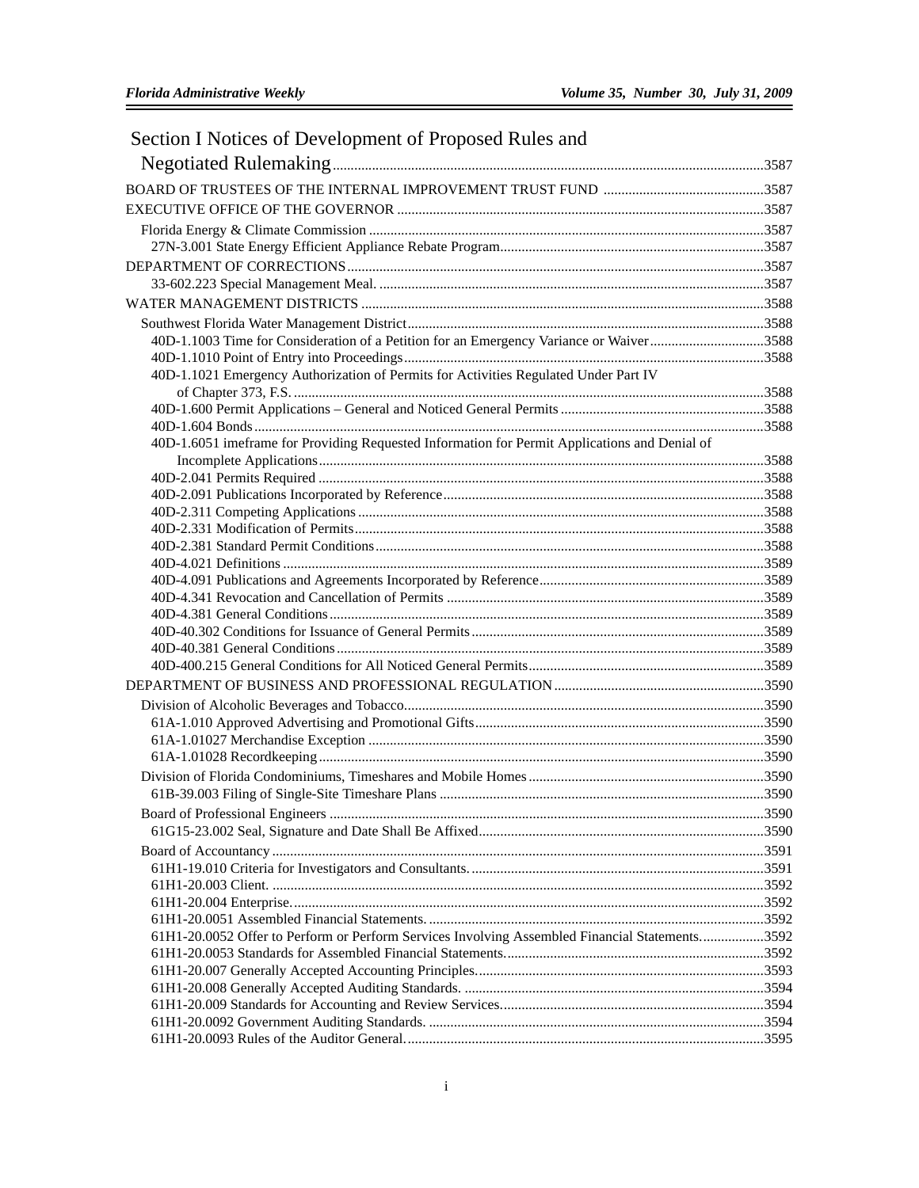| Section I Notices of Development of Proposed Rules and |
|--------------------------------------------------------|
|--------------------------------------------------------|

| 40D-1.1003 Time for Consideration of a Petition for an Emergency Variance or Waiver3588        |  |
|------------------------------------------------------------------------------------------------|--|
|                                                                                                |  |
| 40D-1.1021 Emergency Authorization of Permits for Activities Regulated Under Part IV           |  |
|                                                                                                |  |
|                                                                                                |  |
|                                                                                                |  |
| 40D-1.6051 imeframe for Providing Requested Information for Permit Applications and Denial of  |  |
|                                                                                                |  |
|                                                                                                |  |
|                                                                                                |  |
|                                                                                                |  |
|                                                                                                |  |
|                                                                                                |  |
|                                                                                                |  |
|                                                                                                |  |
|                                                                                                |  |
|                                                                                                |  |
|                                                                                                |  |
|                                                                                                |  |
|                                                                                                |  |
|                                                                                                |  |
|                                                                                                |  |
|                                                                                                |  |
|                                                                                                |  |
|                                                                                                |  |
|                                                                                                |  |
|                                                                                                |  |
|                                                                                                |  |
|                                                                                                |  |
|                                                                                                |  |
|                                                                                                |  |
|                                                                                                |  |
|                                                                                                |  |
| 61H1-20.0052 Offer to Perform or Perform Services Involving Assembled Financial Statements3592 |  |
|                                                                                                |  |
|                                                                                                |  |
|                                                                                                |  |
|                                                                                                |  |
|                                                                                                |  |
|                                                                                                |  |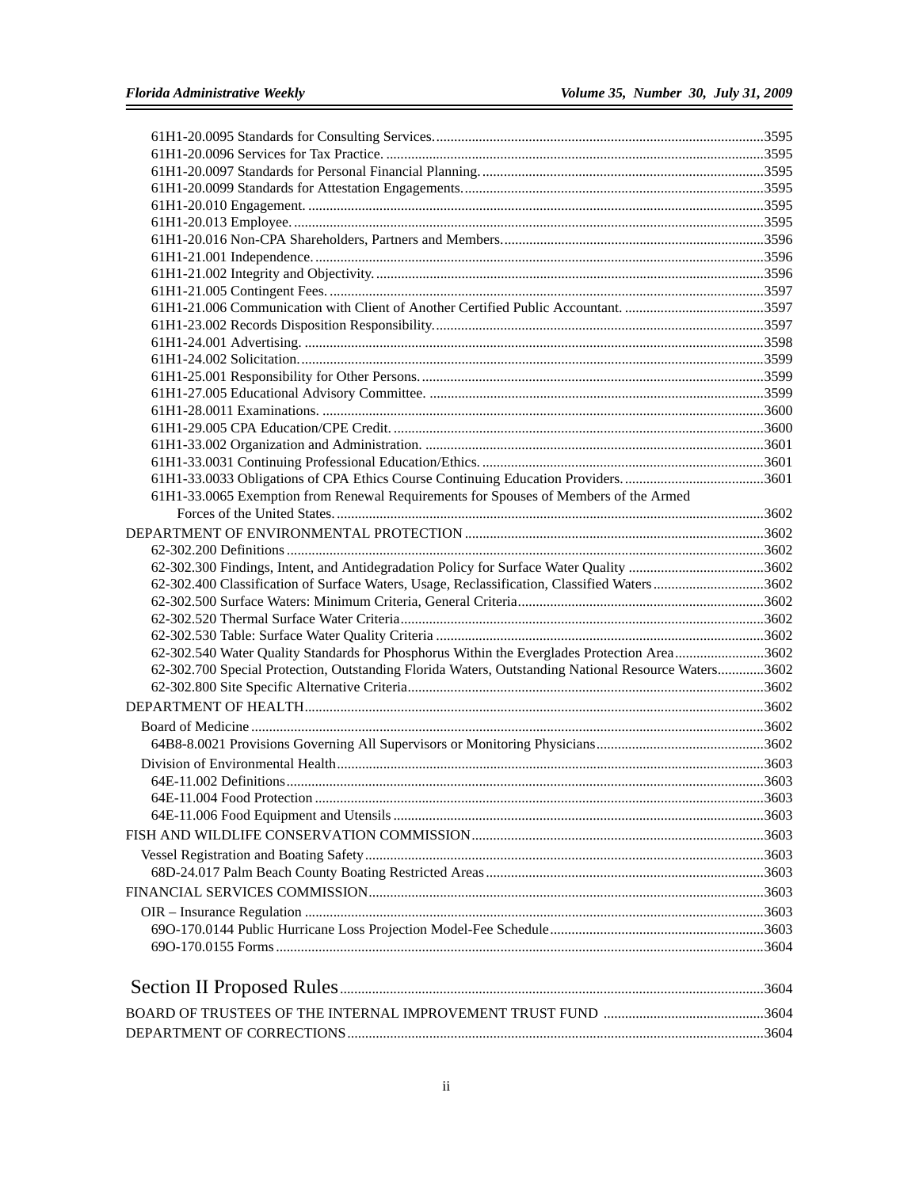| 61H1-33.0033 Obligations of CPA Ethics Course Continuing Education Providers3601                                                                                                                   |  |
|----------------------------------------------------------------------------------------------------------------------------------------------------------------------------------------------------|--|
| 61H1-33.0065 Exemption from Renewal Requirements for Spouses of Members of the Armed                                                                                                               |  |
|                                                                                                                                                                                                    |  |
|                                                                                                                                                                                                    |  |
|                                                                                                                                                                                                    |  |
|                                                                                                                                                                                                    |  |
| 62-302.400 Classification of Surface Waters, Usage, Reclassification, Classified Waters3602                                                                                                        |  |
|                                                                                                                                                                                                    |  |
|                                                                                                                                                                                                    |  |
|                                                                                                                                                                                                    |  |
| 62-302.540 Water Quality Standards for Phosphorus Within the Everglades Protection Area3602<br>62-302.700 Special Protection, Outstanding Florida Waters, Outstanding National Resource Waters3602 |  |
|                                                                                                                                                                                                    |  |
|                                                                                                                                                                                                    |  |
|                                                                                                                                                                                                    |  |
|                                                                                                                                                                                                    |  |
|                                                                                                                                                                                                    |  |
|                                                                                                                                                                                                    |  |
|                                                                                                                                                                                                    |  |
| 3603<br>64E-11 004 Food Protection                                                                                                                                                                 |  |
|                                                                                                                                                                                                    |  |
|                                                                                                                                                                                                    |  |
|                                                                                                                                                                                                    |  |
|                                                                                                                                                                                                    |  |
|                                                                                                                                                                                                    |  |
|                                                                                                                                                                                                    |  |
|                                                                                                                                                                                                    |  |
|                                                                                                                                                                                                    |  |
|                                                                                                                                                                                                    |  |
|                                                                                                                                                                                                    |  |
|                                                                                                                                                                                                    |  |

DEPARTMENT OF CORRECTIONS.....................................................................................................................3604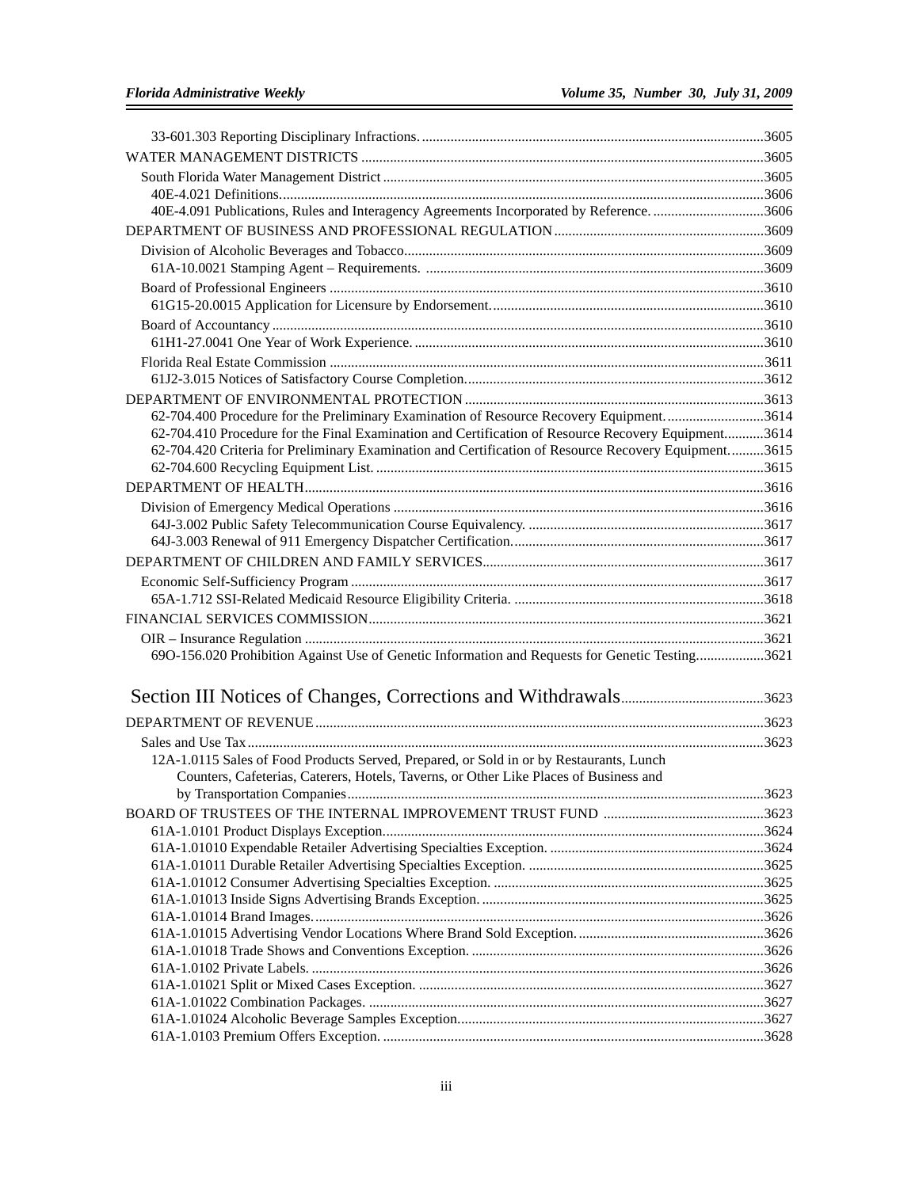| 40E-4.091 Publications, Rules and Interagency Agreements Incorporated by Reference. 3606             |  |
|------------------------------------------------------------------------------------------------------|--|
|                                                                                                      |  |
|                                                                                                      |  |
|                                                                                                      |  |
|                                                                                                      |  |
|                                                                                                      |  |
|                                                                                                      |  |
|                                                                                                      |  |
|                                                                                                      |  |
|                                                                                                      |  |
|                                                                                                      |  |
| 62-704.400 Procedure for the Preliminary Examination of Resource Recovery Equipment3614              |  |
| 62-704.410 Procedure for the Final Examination and Certification of Resource Recovery Equipment3614  |  |
| 62-704.420 Criteria for Preliminary Examination and Certification of Resource Recovery Equipment3615 |  |
|                                                                                                      |  |
|                                                                                                      |  |
|                                                                                                      |  |
|                                                                                                      |  |
|                                                                                                      |  |
|                                                                                                      |  |
|                                                                                                      |  |
|                                                                                                      |  |
|                                                                                                      |  |
|                                                                                                      |  |
| 690-156.020 Prohibition Against Use of Genetic Information and Requests for Genetic Testing3621      |  |
|                                                                                                      |  |
|                                                                                                      |  |
|                                                                                                      |  |
|                                                                                                      |  |
| 12A-1.0115 Sales of Food Products Served, Prepared, or Sold in or by Restaurants, Lunch              |  |
| Counters, Cafeterias, Caterers, Hotels, Taverns, or Other Like Places of Business and                |  |
|                                                                                                      |  |
|                                                                                                      |  |
|                                                                                                      |  |
|                                                                                                      |  |
|                                                                                                      |  |
|                                                                                                      |  |
|                                                                                                      |  |
|                                                                                                      |  |
|                                                                                                      |  |
|                                                                                                      |  |
|                                                                                                      |  |
|                                                                                                      |  |
|                                                                                                      |  |
|                                                                                                      |  |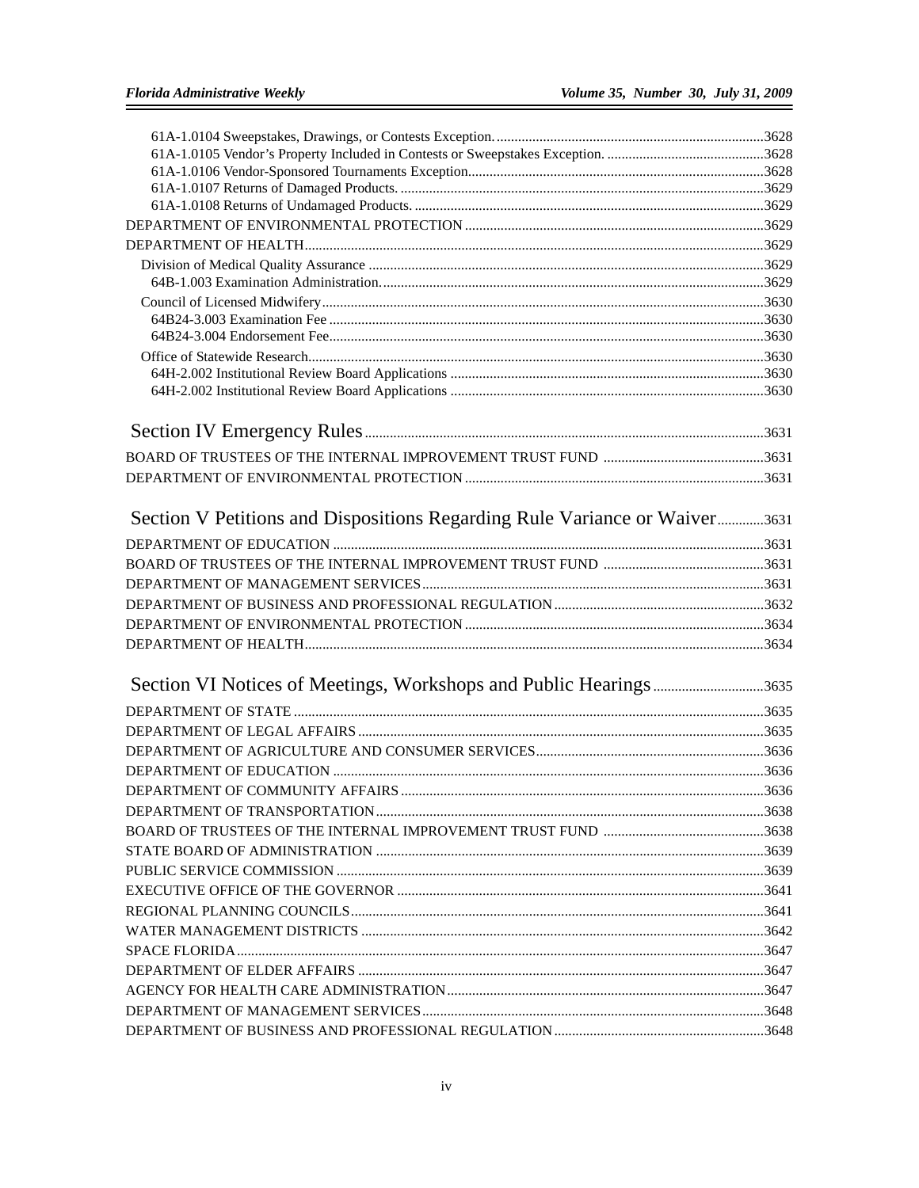| Section V Petitions and Dispositions Regarding Rule Variance or Waiver3631 |  |
|----------------------------------------------------------------------------|--|
|                                                                            |  |
|                                                                            |  |
|                                                                            |  |
|                                                                            |  |
|                                                                            |  |
|                                                                            |  |
|                                                                            |  |
| Section VI Notices of Meetings, Workshops and Public Hearings3635          |  |
|                                                                            |  |
|                                                                            |  |
|                                                                            |  |
|                                                                            |  |
|                                                                            |  |
|                                                                            |  |
|                                                                            |  |
|                                                                            |  |
|                                                                            |  |
|                                                                            |  |
|                                                                            |  |
|                                                                            |  |
|                                                                            |  |
|                                                                            |  |
|                                                                            |  |
|                                                                            |  |
|                                                                            |  |
|                                                                            |  |
|                                                                            |  |